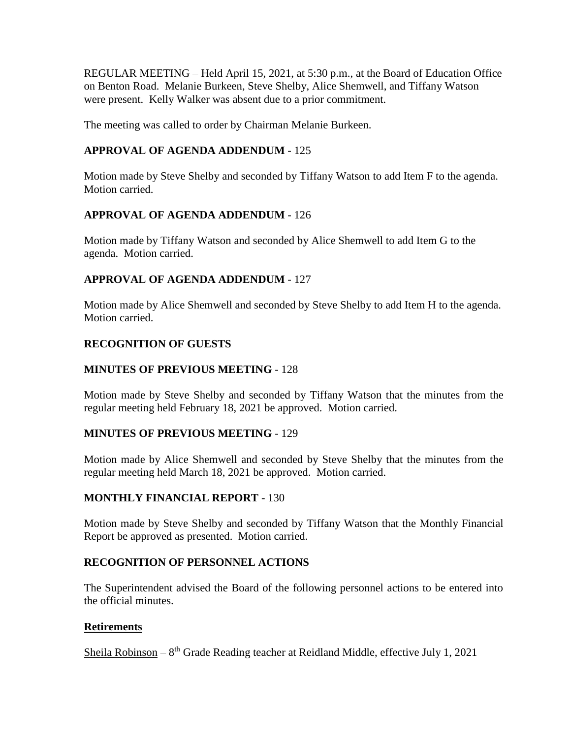REGULAR MEETING – Held April 15, 2021, at 5:30 p.m., at the Board of Education Office on Benton Road. Melanie Burkeen, Steve Shelby, Alice Shemwell, and Tiffany Watson were present. Kelly Walker was absent due to a prior commitment.

The meeting was called to order by Chairman Melanie Burkeen.

# **APPROVAL OF AGENDA ADDENDUM** - 125

Motion made by Steve Shelby and seconded by Tiffany Watson to add Item F to the agenda. Motion carried.

# **APPROVAL OF AGENDA ADDENDUM** - 126

Motion made by Tiffany Watson and seconded by Alice Shemwell to add Item G to the agenda. Motion carried.

# **APPROVAL OF AGENDA ADDENDUM** - 127

Motion made by Alice Shemwell and seconded by Steve Shelby to add Item H to the agenda. Motion carried.

# **RECOGNITION OF GUESTS**

# **MINUTES OF PREVIOUS MEETING** - 128

Motion made by Steve Shelby and seconded by Tiffany Watson that the minutes from the regular meeting held February 18, 2021 be approved. Motion carried.

# **MINUTES OF PREVIOUS MEETING** - 129

Motion made by Alice Shemwell and seconded by Steve Shelby that the minutes from the regular meeting held March 18, 2021 be approved. Motion carried.

# **MONTHLY FINANCIAL REPORT** - 130

Motion made by Steve Shelby and seconded by Tiffany Watson that the Monthly Financial Report be approved as presented. Motion carried.

# **RECOGNITION OF PERSONNEL ACTIONS**

The Superintendent advised the Board of the following personnel actions to be entered into the official minutes.

# **Retirements**

Sheila Robinson - 8<sup>th</sup> Grade Reading teacher at Reidland Middle, effective July 1, 2021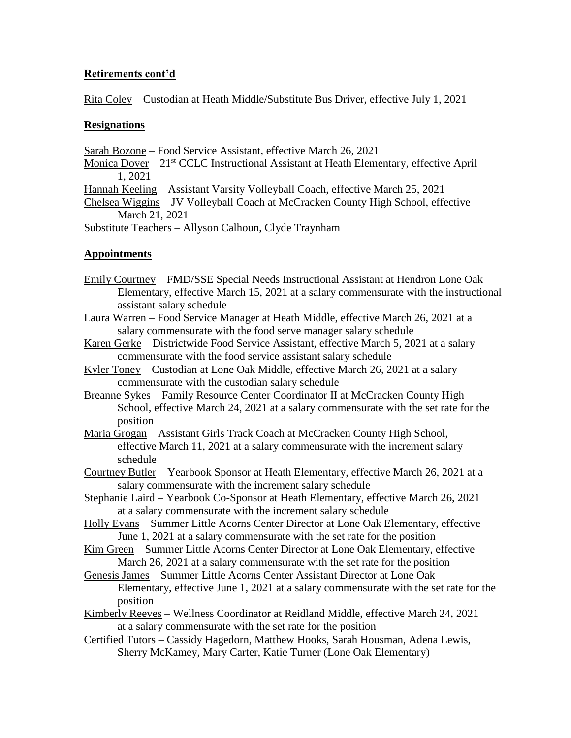# **Retirements cont'd**

Rita Coley – Custodian at Heath Middle/Substitute Bus Driver, effective July 1, 2021

## **Resignations**

Sarah Bozone – Food Service Assistant, effective March 26, 2021

Monica Dover  $-21<sup>st</sup> CCLC$  Instructional Assistant at Heath Elementary, effective April 1, 2021

Hannah Keeling – Assistant Varsity Volleyball Coach, effective March 25, 2021

Chelsea Wiggins – JV Volleyball Coach at McCracken County High School, effective March 21, 2021

Substitute Teachers – Allyson Calhoun, Clyde Traynham

# **Appointments**

- Emily Courtney FMD/SSE Special Needs Instructional Assistant at Hendron Lone Oak Elementary, effective March 15, 2021 at a salary commensurate with the instructional assistant salary schedule
- Laura Warren Food Service Manager at Heath Middle, effective March 26, 2021 at a salary commensurate with the food serve manager salary schedule
- Karen Gerke Districtwide Food Service Assistant, effective March 5, 2021 at a salary commensurate with the food service assistant salary schedule
- Kyler Toney Custodian at Lone Oak Middle, effective March 26, 2021 at a salary commensurate with the custodian salary schedule
- Breanne Sykes Family Resource Center Coordinator II at McCracken County High School, effective March 24, 2021 at a salary commensurate with the set rate for the position
- Maria Grogan Assistant Girls Track Coach at McCracken County High School, effective March 11, 2021 at a salary commensurate with the increment salary schedule
- Courtney Butler Yearbook Sponsor at Heath Elementary, effective March 26, 2021 at a salary commensurate with the increment salary schedule
- Stephanie Laird Yearbook Co-Sponsor at Heath Elementary, effective March 26, 2021 at a salary commensurate with the increment salary schedule
- Holly Evans Summer Little Acorns Center Director at Lone Oak Elementary, effective June 1, 2021 at a salary commensurate with the set rate for the position
- Kim Green Summer Little Acorns Center Director at Lone Oak Elementary, effective March 26, 2021 at a salary commensurate with the set rate for the position
- Genesis James Summer Little Acorns Center Assistant Director at Lone Oak Elementary, effective June 1, 2021 at a salary commensurate with the set rate for the position
- Kimberly Reeves Wellness Coordinator at Reidland Middle, effective March 24, 2021 at a salary commensurate with the set rate for the position
- Certified Tutors Cassidy Hagedorn, Matthew Hooks, Sarah Housman, Adena Lewis, Sherry McKamey, Mary Carter, Katie Turner (Lone Oak Elementary)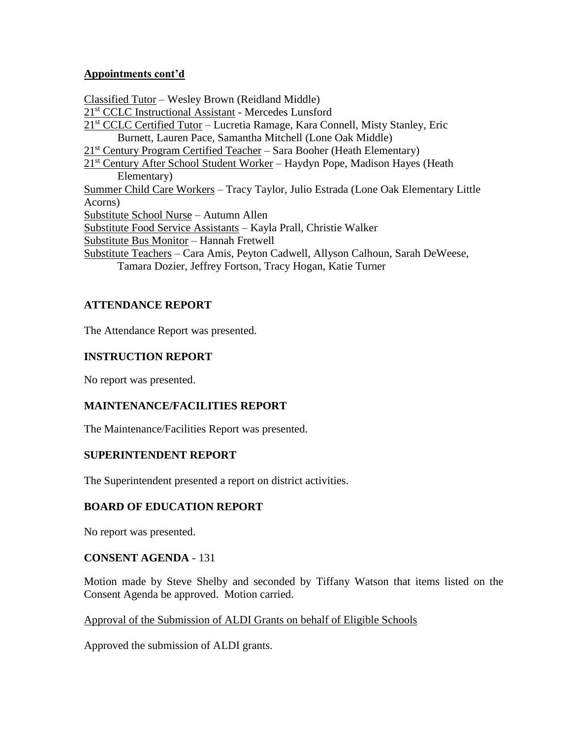## **Appointments cont'd**

Classified Tutor – Wesley Brown (Reidland Middle) 21st CCLC Instructional Assistant - Mercedes Lunsford 21st CCLC Certified Tutor – Lucretia Ramage, Kara Connell, Misty Stanley, Eric Burnett, Lauren Pace, Samantha Mitchell (Lone Oak Middle)  $21<sup>st</sup>$  Century Program Certified Teacher – Sara Booher (Heath Elementary) 21<sup>st</sup> Century After School Student Worker – Haydyn Pope, Madison Hayes (Heath Elementary) Summer Child Care Workers – Tracy Taylor, Julio Estrada (Lone Oak Elementary Little Acorns) Substitute School Nurse – Autumn Allen Substitute Food Service Assistants – Kayla Prall, Christie Walker Substitute Bus Monitor – Hannah Fretwell Substitute Teachers – Cara Amis, Peyton Cadwell, Allyson Calhoun, Sarah DeWeese, Tamara Dozier, Jeffrey Fortson, Tracy Hogan, Katie Turner

# **ATTENDANCE REPORT**

The Attendance Report was presented.

## **INSTRUCTION REPORT**

No report was presented.

## **MAINTENANCE/FACILITIES REPORT**

The Maintenance/Facilities Report was presented.

#### **SUPERINTENDENT REPORT**

The Superintendent presented a report on district activities.

## **BOARD OF EDUCATION REPORT**

No report was presented.

#### **CONSENT AGENDA** - 131

Motion made by Steve Shelby and seconded by Tiffany Watson that items listed on the Consent Agenda be approved. Motion carried.

## Approval of the Submission of ALDI Grants on behalf of Eligible Schools

Approved the submission of ALDI grants.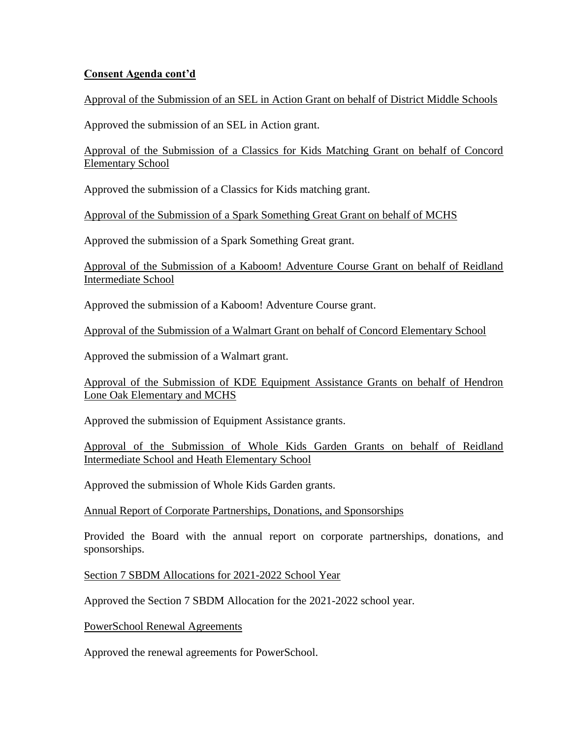## **Consent Agenda cont'd**

## Approval of the Submission of an SEL in Action Grant on behalf of District Middle Schools

Approved the submission of an SEL in Action grant.

Approval of the Submission of a Classics for Kids Matching Grant on behalf of Concord Elementary School

Approved the submission of a Classics for Kids matching grant.

Approval of the Submission of a Spark Something Great Grant on behalf of MCHS

Approved the submission of a Spark Something Great grant.

Approval of the Submission of a Kaboom! Adventure Course Grant on behalf of Reidland Intermediate School

Approved the submission of a Kaboom! Adventure Course grant.

Approval of the Submission of a Walmart Grant on behalf of Concord Elementary School

Approved the submission of a Walmart grant.

Approval of the Submission of KDE Equipment Assistance Grants on behalf of Hendron Lone Oak Elementary and MCHS

Approved the submission of Equipment Assistance grants.

Approval of the Submission of Whole Kids Garden Grants on behalf of Reidland Intermediate School and Heath Elementary School

Approved the submission of Whole Kids Garden grants.

Annual Report of Corporate Partnerships, Donations, and Sponsorships

Provided the Board with the annual report on corporate partnerships, donations, and sponsorships.

Section 7 SBDM Allocations for 2021-2022 School Year

Approved the Section 7 SBDM Allocation for the 2021-2022 school year.

PowerSchool Renewal Agreements

Approved the renewal agreements for PowerSchool.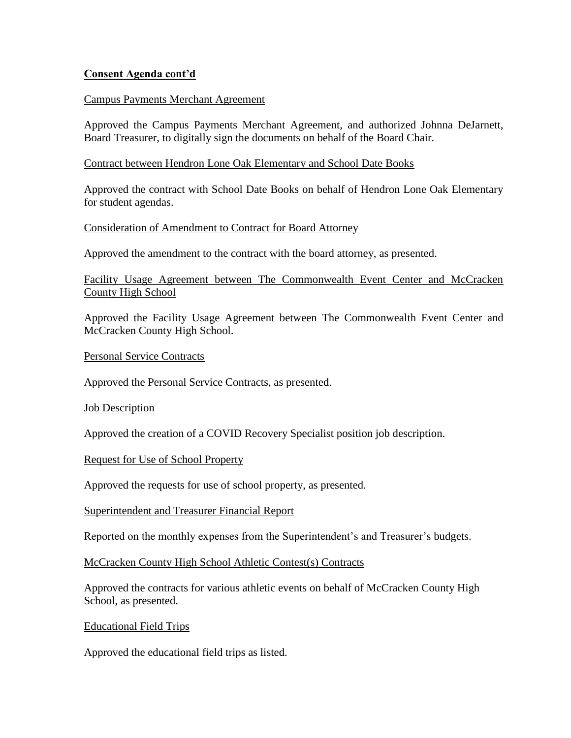## **Consent Agenda cont'd**

#### Campus Payments Merchant Agreement

Approved the Campus Payments Merchant Agreement, and authorized Johnna DeJarnett, Board Treasurer, to digitally sign the documents on behalf of the Board Chair.

#### Contract between Hendron Lone Oak Elementary and School Date Books

Approved the contract with School Date Books on behalf of Hendron Lone Oak Elementary for student agendas.

#### Consideration of Amendment to Contract for Board Attorney

Approved the amendment to the contract with the board attorney, as presented.

## Facility Usage Agreement between The Commonwealth Event Center and McCracken County High School

Approved the Facility Usage Agreement between The Commonwealth Event Center and McCracken County High School.

Personal Service Contracts

Approved the Personal Service Contracts, as presented.

**Job Description** 

Approved the creation of a COVID Recovery Specialist position job description.

Request for Use of School Property

Approved the requests for use of school property, as presented.

Superintendent and Treasurer Financial Report

Reported on the monthly expenses from the Superintendent's and Treasurer's budgets.

McCracken County High School Athletic Contest(s) Contracts

Approved the contracts for various athletic events on behalf of McCracken County High School, as presented.

Educational Field Trips

Approved the educational field trips as listed.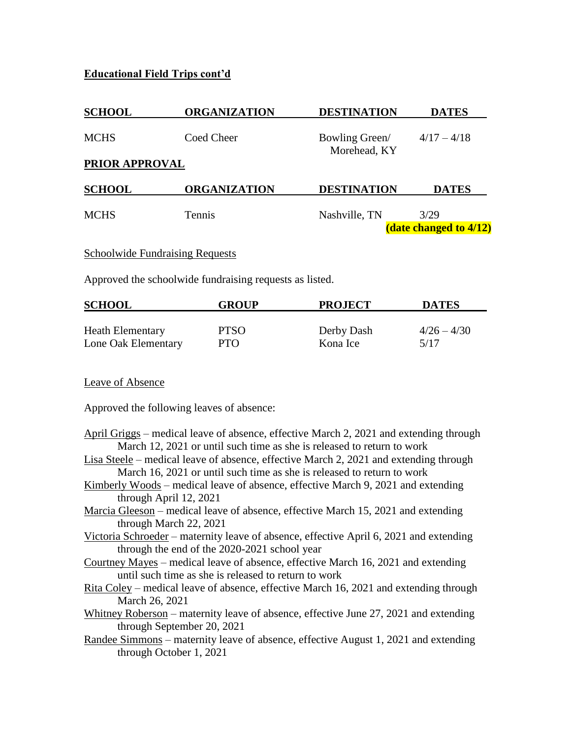# **Educational Field Trips cont'd**

| <b>SCHOOL</b>         | <b>ORGANIZATION</b> | <b>DESTINATION</b>             | <b>DATES</b>                          |
|-----------------------|---------------------|--------------------------------|---------------------------------------|
| <b>MCHS</b>           | Coed Cheer          | Bowling Green/<br>Morehead, KY | $4/17 - 4/18$                         |
| <b>PRIOR APPROVAL</b> |                     |                                |                                       |
| <b>SCHOOL</b>         | <b>ORGANIZATION</b> | <b>DESTINATION</b>             | <b>DATES</b>                          |
| <b>MCHS</b>           | Tennis              | Nashville, TN                  | 3/29<br><b>(date changed to 4/12)</b> |
|                       |                     |                                |                                       |

## Schoolwide Fundraising Requests

Approved the schoolwide fundraising requests as listed.

| <b>SCHOOL</b>           | <b>GROUP</b> | <b>PROJECT</b> | <b>DATES</b>  |
|-------------------------|--------------|----------------|---------------|
|                         |              |                |               |
| <b>Heath Elementary</b> | <b>PTSO</b>  | Derby Dash     | $4/26 - 4/30$ |
| Lone Oak Elementary     | <b>PTO</b>   | Kona Ice       | 5/17          |

Leave of Absence

Approved the following leaves of absence:

- April Griggs medical leave of absence, effective March 2, 2021 and extending through March 12, 2021 or until such time as she is released to return to work
- Lisa Steele medical leave of absence, effective March 2, 2021 and extending through March 16, 2021 or until such time as she is released to return to work
- Kimberly Woods medical leave of absence, effective March 9, 2021 and extending through April 12, 2021
- Marcia Gleeson medical leave of absence, effective March 15, 2021 and extending through March 22, 2021
- Victoria Schroeder maternity leave of absence, effective April 6, 2021 and extending through the end of the 2020-2021 school year
- Courtney Mayes medical leave of absence, effective March 16, 2021 and extending until such time as she is released to return to work
- Rita Coley medical leave of absence, effective March 16, 2021 and extending through March 26, 2021
- Whitney Roberson maternity leave of absence, effective June 27, 2021 and extending through September 20, 2021
- Randee Simmons maternity leave of absence, effective August 1, 2021 and extending through October 1, 2021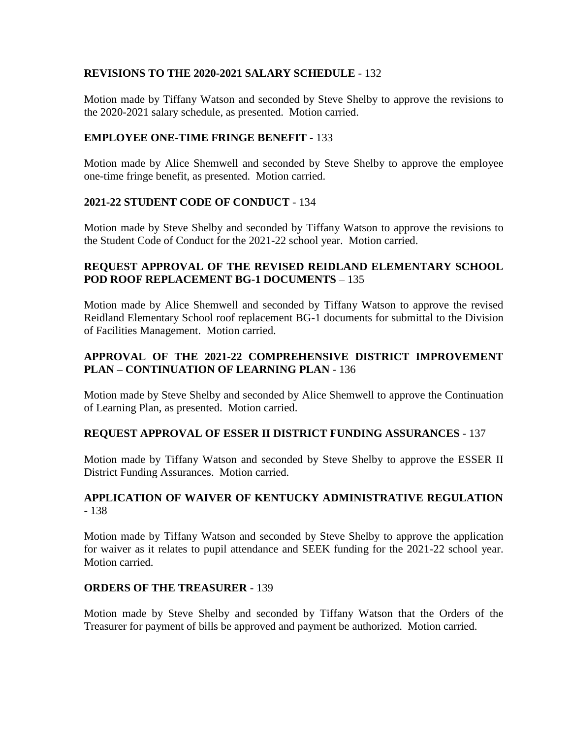## **REVISIONS TO THE 2020-2021 SALARY SCHEDULE** - 132

Motion made by Tiffany Watson and seconded by Steve Shelby to approve the revisions to the 2020-2021 salary schedule, as presented. Motion carried.

## **EMPLOYEE ONE-TIME FRINGE BENEFIT** - 133

Motion made by Alice Shemwell and seconded by Steve Shelby to approve the employee one-time fringe benefit, as presented. Motion carried.

## **2021-22 STUDENT CODE OF CONDUCT** - 134

Motion made by Steve Shelby and seconded by Tiffany Watson to approve the revisions to the Student Code of Conduct for the 2021-22 school year. Motion carried.

## **REQUEST APPROVAL OF THE REVISED REIDLAND ELEMENTARY SCHOOL POD ROOF REPLACEMENT BG-1 DOCUMENTS** – 135

Motion made by Alice Shemwell and seconded by Tiffany Watson to approve the revised Reidland Elementary School roof replacement BG-1 documents for submittal to the Division of Facilities Management. Motion carried.

# **APPROVAL OF THE 2021-22 COMPREHENSIVE DISTRICT IMPROVEMENT PLAN – CONTINUATION OF LEARNING PLAN** - 136

Motion made by Steve Shelby and seconded by Alice Shemwell to approve the Continuation of Learning Plan, as presented. Motion carried.

## **REQUEST APPROVAL OF ESSER II DISTRICT FUNDING ASSURANCES** - 137

Motion made by Tiffany Watson and seconded by Steve Shelby to approve the ESSER II District Funding Assurances. Motion carried.

## **APPLICATION OF WAIVER OF KENTUCKY ADMINISTRATIVE REGULATION** - 138

Motion made by Tiffany Watson and seconded by Steve Shelby to approve the application for waiver as it relates to pupil attendance and SEEK funding for the 2021-22 school year. Motion carried.

## **ORDERS OF THE TREASURER** - 139

Motion made by Steve Shelby and seconded by Tiffany Watson that the Orders of the Treasurer for payment of bills be approved and payment be authorized. Motion carried.